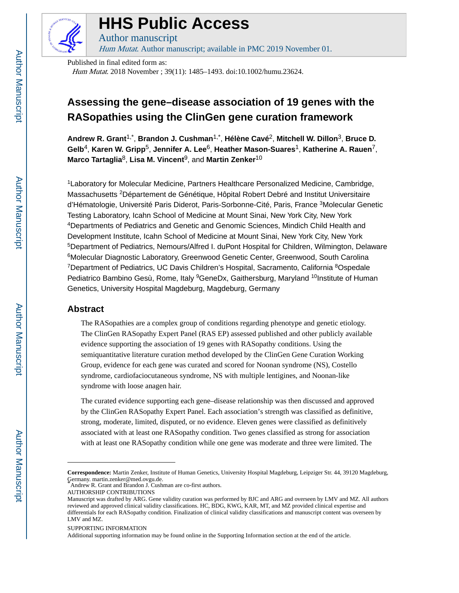

# **HHS Public Access**

Author manuscript Hum Mutat. Author manuscript; available in PMC 2019 November 01.

Published in final edited form as: Hum Mutat. 2018 November ; 39(11): 1485–1493. doi:10.1002/humu.23624.

# **Assessing the gene–disease association of 19 genes with the RASopathies using the ClinGen gene curation framework**

**Andrew R. Grant**1,\* , **Brandon J. Cushman**1,\* , **Hélène Cavé**2, **Mitchell W. Dillon**3, **Bruce D. Gelb**4, **Karen W. Gripp**5, **Jennifer A. Lee**6, **Heather Mason-Suares**1, **Katherine A. Rauen**7, **Marco Tartaglia**8, **Lisa M. Vincent**9, and **Martin Zenker**<sup>10</sup>

<sup>1</sup>Laboratory for Molecular Medicine, Partners Healthcare Personalized Medicine, Cambridge, Massachusetts <sup>2</sup>Département de Génétique, Hôpital Robert Debré and Institut Universitaire d'Hématologie, Université Paris Diderot, Paris-Sorbonne-Cité, Paris, France <sup>3</sup>Molecular Genetic Testing Laboratory, Icahn School of Medicine at Mount Sinai, New York City, New York <sup>4</sup>Departments of Pediatrics and Genetic and Genomic Sciences, Mindich Child Health and Development Institute, Icahn School of Medicine at Mount Sinai, New York City, New York <sup>5</sup>Department of Pediatrics, Nemours/Alfred I. duPont Hospital for Children, Wilmington, Delaware <sup>6</sup>Molecular Diagnostic Laboratory, Greenwood Genetic Center, Greenwood, South Carolina <sup>7</sup>Department of Pediatrics, UC Davis Children's Hospital, Sacramento, California <sup>8</sup>Ospedale Pediatrico Bambino Gesù, Rome, Italy <sup>9</sup>GeneDx, Gaithersburg, Maryland <sup>10</sup>Institute of Human Genetics, University Hospital Magdeburg, Magdeburg, Germany

# **Abstract**

The RASopathies are a complex group of conditions regarding phenotype and genetic etiology. The ClinGen RASopathy Expert Panel (RAS EP) assessed published and other publicly available evidence supporting the association of 19 genes with RASopathy conditions. Using the semiquantitative literature curation method developed by the ClinGen Gene Curation Working Group, evidence for each gene was curated and scored for Noonan syndrome (NS), Costello syndrome, cardiofaciocutaneous syndrome, NS with multiple lentigines, and Noonan-like syndrome with loose anagen hair.

The curated evidence supporting each gene–disease relationship was then discussed and approved by the ClinGen RASopathy Expert Panel. Each association's strength was classified as definitive, strong, moderate, limited, disputed, or no evidence. Eleven genes were classified as definitively associated with at least one RASopathy condition. Two genes classified as strong for association with at least one RASopathy condition while one gene was moderate and three were limited. The

**Correspondence:** Martin Zenker, Institute of Human Genetics, University Hospital Magdeburg, Leipziger Str. 44, 39120 Magdeburg, Germany. martin.zenker@med.ovgu.de.

Andrew R. Grant and Brandon J. Cushman are co-first authors.

AUTHORSHIP CONTRIBUTIONS

Manuscript was drafted by ARG. Gene validity curation was performed by BJC and ARG and overseen by LMV and MZ. All authors reviewed and approved clinical validity classifications. HC, BDG, KWG, KAR, MT, and MZ provided clinical expertise and differentials for each RASopathy condition. Finalization of clinical validity classifications and manuscript content was overseen by LMV and MZ.

SUPPORTING INFORMATION

Additional supporting information may be found online in the Supporting Information section at the end of the article.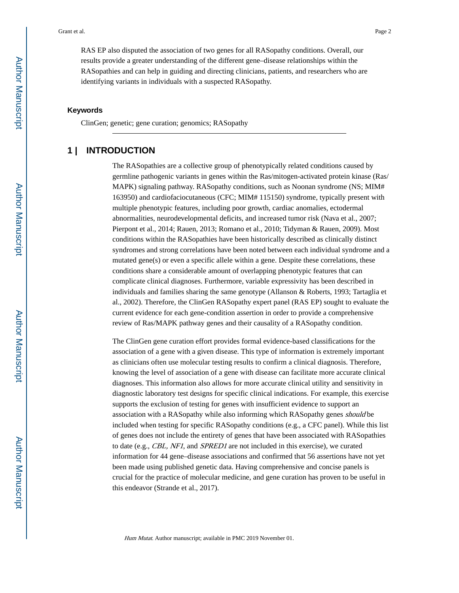RAS EP also disputed the association of two genes for all RASopathy conditions. Overall, our results provide a greater understanding of the different gene–disease relationships within the RASopathies and can help in guiding and directing clinicians, patients, and researchers who are identifying variants in individuals with a suspected RASopathy.

#### **Keywords**

ClinGen; genetic; gene curation; genomics; RASopathy

# **1 | INTRODUCTION**

The RASopathies are a collective group of phenotypically related conditions caused by germline pathogenic variants in genes within the Ras/mitogen-activated protein kinase (Ras/ MAPK) signaling pathway. RASopathy conditions, such as Noonan syndrome (NS; MIM# 163950) and cardiofaciocutaneous (CFC; MIM# 115150) syndrome, typically present with multiple phenotypic features, including poor growth, cardiac anomalies, ectodermal abnormalities, neurodevelopmental deficits, and increased tumor risk (Nava et al., 2007; Pierpont et al., 2014; Rauen, 2013; Romano et al., 2010; Tidyman & Rauen, 2009). Most conditions within the RASopathies have been historically described as clinically distinct syndromes and strong correlations have been noted between each individual syndrome and a mutated gene(s) or even a specific allele within a gene. Despite these correlations, these conditions share a considerable amount of overlapping phenotypic features that can complicate clinical diagnoses. Furthermore, variable expressivity has been described in individuals and families sharing the same genotype (Allanson & Roberts, 1993; Tartaglia et al., 2002). Therefore, the ClinGen RASopathy expert panel (RAS EP) sought to evaluate the current evidence for each gene-condition assertion in order to provide a comprehensive review of Ras/MAPK pathway genes and their causality of a RASopathy condition.

The ClinGen gene curation effort provides formal evidence-based classifications for the association of a gene with a given disease. This type of information is extremely important as clinicians often use molecular testing results to confirm a clinical diagnosis. Therefore, knowing the level of association of a gene with disease can facilitate more accurate clinical diagnoses. This information also allows for more accurate clinical utility and sensitivity in diagnostic laboratory test designs for specific clinical indications. For example, this exercise supports the exclusion of testing for genes with insufficient evidence to support an association with a RASopathy while also informing which RASopathy genes should be included when testing for specific RASopathy conditions (e.g., a CFC panel). While this list of genes does not include the entirety of genes that have been associated with RASopathies to date (e.g., CBL, NF1, and SPRED1 are not included in this exercise), we curated information for 44 gene–disease associations and confirmed that 56 assertions have not yet been made using published genetic data. Having comprehensive and concise panels is crucial for the practice of molecular medicine, and gene curation has proven to be useful in this endeavor (Strande et al., 2017).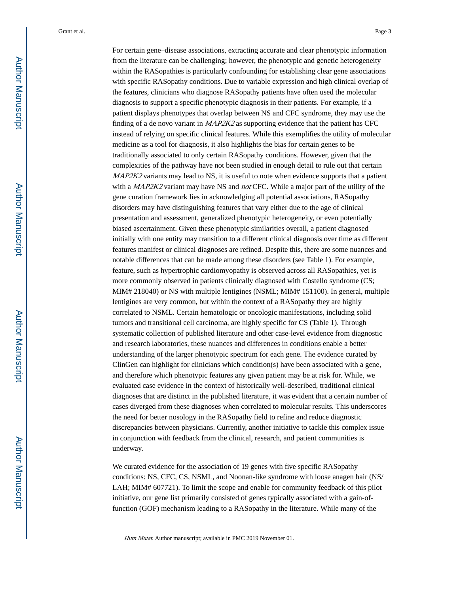For certain gene–disease associations, extracting accurate and clear phenotypic information from the literature can be challenging; however, the phenotypic and genetic heterogeneity within the RASopathies is particularly confounding for establishing clear gene associations with specific RASopathy conditions. Due to variable expression and high clinical overlap of the features, clinicians who diagnose RASopathy patients have often used the molecular diagnosis to support a specific phenotypic diagnosis in their patients. For example, if a patient displays phenotypes that overlap between NS and CFC syndrome, they may use the finding of a de novo variant in  $MAP2K2$  as supporting evidence that the patient has CFC instead of relying on specific clinical features. While this exemplifies the utility of molecular medicine as a tool for diagnosis, it also highlights the bias for certain genes to be traditionally associated to only certain RASopathy conditions. However, given that the complexities of the pathway have not been studied in enough detail to rule out that certain MAP2K2 variants may lead to NS, it is useful to note when evidence supports that a patient with a  $MAP2K2$  variant may have NS and *not* CFC. While a major part of the utility of the gene curation framework lies in acknowledging all potential associations, RASopathy disorders may have distinguishing features that vary either due to the age of clinical presentation and assessment, generalized phenotypic heterogeneity, or even potentially biased ascertainment. Given these phenotypic similarities overall, a patient diagnosed initially with one entity may transition to a different clinical diagnosis over time as different features manifest or clinical diagnoses are refined. Despite this, there are some nuances and notable differences that can be made among these disorders (see Table 1). For example, feature, such as hypertrophic cardiomyopathy is observed across all RASopathies, yet is more commonly observed in patients clinically diagnosed with Costello syndrome (CS; MIM# 218040) or NS with multiple lentigines (NSML; MIM# 151100). In general, multiple lentigines are very common, but within the context of a RASopathy they are highly correlated to NSML. Certain hematologic or oncologic manifestations, including solid tumors and transitional cell carcinoma, are highly specific for CS (Table 1). Through systematic collection of published literature and other case-level evidence from diagnostic and research laboratories, these nuances and differences in conditions enable a better understanding of the larger phenotypic spectrum for each gene. The evidence curated by ClinGen can highlight for clinicians which condition(s) have been associated with a gene, and therefore which phenotypic features any given patient may be at risk for. While, we evaluated case evidence in the context of historically well-described, traditional clinical diagnoses that are distinct in the published literature, it was evident that a certain number of cases diverged from these diagnoses when correlated to molecular results. This underscores the need for better nosology in the RASopathy field to refine and reduce diagnostic discrepancies between physicians. Currently, another initiative to tackle this complex issue in conjunction with feedback from the clinical, research, and patient communities is underway.

We curated evidence for the association of 19 genes with five specific RASopathy conditions: NS, CFC, CS, NSML, and Noonan-like syndrome with loose anagen hair (NS/ LAH; MIM# 607721). To limit the scope and enable for community feedback of this pilot initiative, our gene list primarily consisted of genes typically associated with a gain-offunction (GOF) mechanism leading to a RASopathy in the literature. While many of the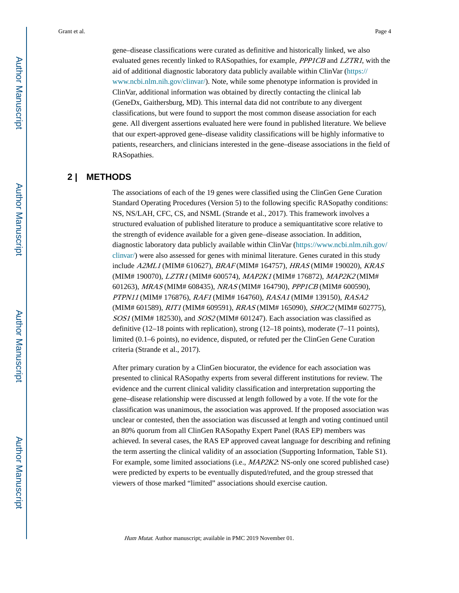gene–disease classifications were curated as definitive and historically linked, we also evaluated genes recently linked to RASopathies, for example, *PPP1CB* and *LZTR1*, with the aid of additional diagnostic laboratory data publicly available within ClinVar ([https://](https://www.ncbi.nlm.nih.gov/clinvar/) [www.ncbi.nlm.nih.gov/clinvar/](https://www.ncbi.nlm.nih.gov/clinvar/)). Note, while some phenotype information is provided in

ClinVar, additional information was obtained by directly contacting the clinical lab (GeneDx, Gaithersburg, MD). This internal data did not contribute to any divergent classifications, but were found to support the most common disease association for each gene. All divergent assertions evaluated here were found in published literature. We believe that our expert-approved gene–disease validity classifications will be highly informative to patients, researchers, and clinicians interested in the gene–disease associations in the field of RASopathies.

# **2 | METHODS**

The associations of each of the 19 genes were classified using the ClinGen Gene Curation Standard Operating Procedures (Version 5) to the following specific RASopathy conditions: NS, NS/LAH, CFC, CS, and NSML (Strande et al., 2017). This framework involves a structured evaluation of published literature to produce a semiquantitative score relative to the strength of evidence available for a given gene–disease association. In addition, diagnostic laboratory data publicly available within ClinVar ([https://www.ncbi.nlm.nih.gov/](https://www.ncbi.nlm.nih.gov/clinvar/) [clinvar/\)](https://www.ncbi.nlm.nih.gov/clinvar/) were also assessed for genes with minimal literature. Genes curated in this study include A2ML1 (MIM# 610627), BRAF (MIM# 164757), HRAS (MIM# 190020), KRAS (MIM# 190070), LZTR1 (MIM# 600574), MAP2K1 (MIM# 176872), MAP2K2 (MIM# 601263), MRAS (MIM# 608435), NRAS (MIM# 164790), PPP1CB (MIM# 600590), PTPN11 (MIM# 176876), RAF1 (MIM# 164760), RASA1 (MIM# 139150), RASA2 (MIM# 601589), RIT1 (MIM# 609591), RRAS (MIM# 165090), SHOC2 (MIM# 602775), SOS1 (MIM# 182530), and SOS2 (MIM# 601247). Each association was classified as definitive (12–18 points with replication), strong (12–18 points), moderate (7–11 points), limited (0.1–6 points), no evidence, disputed, or refuted per the ClinGen Gene Curation criteria (Strande et al., 2017).

After primary curation by a ClinGen biocurator, the evidence for each association was presented to clinical RASopathy experts from several different institutions for review. The evidence and the current clinical validity classification and interpretation supporting the gene–disease relationship were discussed at length followed by a vote. If the vote for the classification was unanimous, the association was approved. If the proposed association was unclear or contested, then the association was discussed at length and voting continued until an 80% quorum from all ClinGen RASopathy Expert Panel (RAS EP) members was achieved. In several cases, the RAS EP approved caveat language for describing and refining the term asserting the clinical validity of an association (Supporting Information, Table S1). For example, some limited associations (i.e., *MAP2K2*: NS-only one scored published case) were predicted by experts to be eventually disputed/refuted, and the group stressed that viewers of those marked "limited" associations should exercise caution.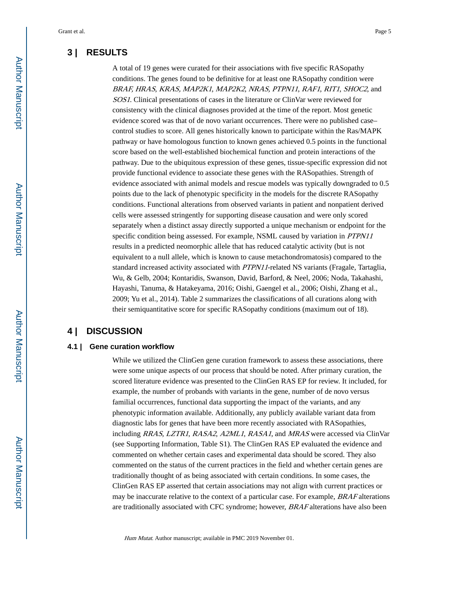# **3 | RESULTS**

A total of 19 genes were curated for their associations with five specific RASopathy conditions. The genes found to be definitive for at least one RASopathy condition were BRAF, HRAS, KRAS, MAP2K1, MAP2K2, NRAS, PTPN11, RAF1, RIT1, SHOC2, and SOS1. Clinical presentations of cases in the literature or ClinVar were reviewed for consistency with the clinical diagnoses provided at the time of the report. Most genetic evidence scored was that of de novo variant occurrences. There were no published case– control studies to score. All genes historically known to participate within the Ras/MAPK pathway or have homologous function to known genes achieved 0.5 points in the functional score based on the well-established biochemical function and protein interactions of the pathway. Due to the ubiquitous expression of these genes, tissue-specific expression did not provide functional evidence to associate these genes with the RASopathies. Strength of evidence associated with animal models and rescue models was typically downgraded to 0.5 points due to the lack of phenotypic specificity in the models for the discrete RASopathy conditions. Functional alterations from observed variants in patient and nonpatient derived cells were assessed stringently for supporting disease causation and were only scored separately when a distinct assay directly supported a unique mechanism or endpoint for the specific condition being assessed. For example, NSML caused by variation in PTPN11 results in a predicted neomorphic allele that has reduced catalytic activity (but is not equivalent to a null allele, which is known to cause metachondromatosis) compared to the standard increased activity associated with PTPN11-related NS variants (Fragale, Tartaglia, Wu, & Gelb, 2004; Kontaridis, Swanson, David, Barford, & Neel, 2006; Noda, Takahashi, Hayashi, Tanuma, & Hatakeyama, 2016; Oishi, Gaengel et al., 2006; Oishi, Zhang et al., 2009; Yu et al., 2014). Table 2 summarizes the classifications of all curations along with their semiquantitative score for specific RASopathy conditions (maximum out of 18).

# **4 | DISCUSSION**

#### **4.1 | Gene curation workflow**

While we utilized the ClinGen gene curation framework to assess these associations, there were some unique aspects of our process that should be noted. After primary curation, the scored literature evidence was presented to the ClinGen RAS EP for review. It included, for example, the number of probands with variants in the gene, number of de novo versus familial occurrences, functional data supporting the impact of the variants, and any phenotypic information available. Additionally, any publicly available variant data from diagnostic labs for genes that have been more recently associated with RASopathies, including RRAS, LZTR1, RASA2, A2ML1, RASA1, and MRAS were accessed via ClinVar (see Supporting Information, Table S1). The ClinGen RAS EP evaluated the evidence and commented on whether certain cases and experimental data should be scored. They also commented on the status of the current practices in the field and whether certain genes are traditionally thought of as being associated with certain conditions. In some cases, the ClinGen RAS EP asserted that certain associations may not align with current practices or may be inaccurate relative to the context of a particular case. For example, BRAF alterations are traditionally associated with CFC syndrome; however, BRAF alterations have also been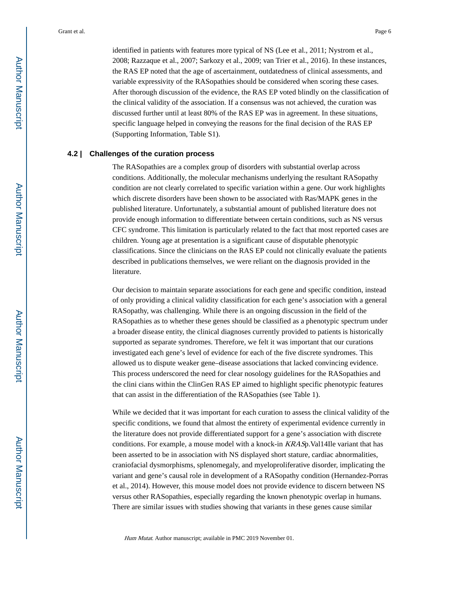identified in patients with features more typical of NS (Lee et al., 2011; Nystrom et al., 2008; Razzaque et al., 2007; Sarkozy et al., 2009; van Trier et al., 2016). In these instances, the RAS EP noted that the age of ascertainment, outdatedness of clinical assessments, and variable expressivity of the RASopathies should be considered when scoring these cases. After thorough discussion of the evidence, the RAS EP voted blindly on the classification of the clinical validity of the association. If a consensus was not achieved, the curation was discussed further until at least 80% of the RAS EP was in agreement. In these situations, specific language helped in conveying the reasons for the final decision of the RAS EP (Supporting Information, Table S1).

#### **4.2 | Challenges of the curation process**

The RASopathies are a complex group of disorders with substantial overlap across conditions. Additionally, the molecular mechanisms underlying the resultant RASopathy condition are not clearly correlated to specific variation within a gene. Our work highlights which discrete disorders have been shown to be associated with Ras/MAPK genes in the published literature. Unfortunately, a substantial amount of published literature does not provide enough information to differentiate between certain conditions, such as NS versus CFC syndrome. This limitation is particularly related to the fact that most reported cases are children. Young age at presentation is a significant cause of disputable phenotypic classifications. Since the clinicians on the RAS EP could not clinically evaluate the patients described in publications themselves, we were reliant on the diagnosis provided in the literature.

Our decision to maintain separate associations for each gene and specific condition, instead of only providing a clinical validity classification for each gene's association with a general RASopathy, was challenging. While there is an ongoing discussion in the field of the RASopathies as to whether these genes should be classified as a phenotypic spectrum under a broader disease entity, the clinical diagnoses currently provided to patients is historically supported as separate syndromes. Therefore, we felt it was important that our curations investigated each gene's level of evidence for each of the five discrete syndromes. This allowed us to dispute weaker gene–disease associations that lacked convincing evidence. This process underscored the need for clear nosology guidelines for the RASopathies and the clini cians within the ClinGen RAS EP aimed to highlight specific phenotypic features that can assist in the differentiation of the RASopathies (see Table 1).

While we decided that it was important for each curation to assess the clinical validity of the specific conditions, we found that almost the entirety of experimental evidence currently in the literature does not provide differentiated support for a gene's association with discrete conditions. For example, a mouse model with a knock-in KRASp.Val14Ile variant that has been asserted to be in association with NS displayed short stature, cardiac abnormalities, craniofacial dysmorphisms, splenomegaly, and myeloproliferative disorder, implicating the variant and gene's causal role in development of a RASopathy condition (Hernandez-Porras et al., 2014). However, this mouse model does not provide evidence to discern between NS versus other RASopathies, especially regarding the known phenotypic overlap in humans. There are similar issues with studies showing that variants in these genes cause similar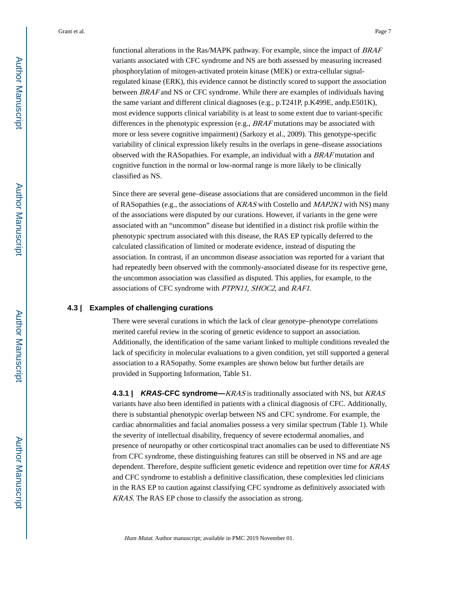functional alterations in the Ras/MAPK pathway. For example, since the impact of BRAF variants associated with CFC syndrome and NS are both assessed by measuring increased phosphorylation of mitogen-activated protein kinase (MEK) or extra-cellular signalregulated kinase (ERK), this evidence cannot be distinctly scored to support the association between BRAF and NS or CFC syndrome. While there are examples of individuals having the same variant and different clinical diagnoses (e.g., p.T241P, p.K499E, andp.E501K), most evidence supports clinical variability is at least to some extent due to variant-specific differences in the phenotypic expression (e.g., BRAF mutations may be associated with more or less severe cognitive impairment) (Sarkozy et al., 2009). This genotype-specific variability of clinical expression likely results in the overlaps in gene–disease associations observed with the RASopathies. For example, an individual with a BRAF mutation and cognitive function in the normal or low-normal range is more likely to be clinically classified as NS.

Since there are several gene–disease associations that are considered uncommon in the field of RASopathies (e.g., the associations of KRAS with Costello and MAP2K1 with NS) many of the associations were disputed by our curations. However, if variants in the gene were associated with an "uncommon" disease but identified in a distinct risk profile within the phenotypic spectrum associated with this disease, the RAS EP typically deferred to the calculated classification of limited or moderate evidence, instead of disputing the association. In contrast, if an uncommon disease association was reported for a variant that had repeatedly been observed with the commonly-associated disease for its respective gene, the uncommon association was classified as disputed. This applies, for example, to the associations of CFC syndrome with PTPN11, SHOC2, and RAF1.

#### **4.3 | Examples of challenging curations**

There were several curations in which the lack of clear genotype–phenotype correlations merited careful review in the scoring of genetic evidence to support an association. Additionally, the identification of the same variant linked to multiple conditions revealed the lack of specificity in molecular evaluations to a given condition, yet still supported a general association to a RASopathy. Some examples are shown below but further details are provided in Supporting Information, Table S1.

**4.3.1 | KRAS-CFC syndrome—**KRAS is traditionally associated with NS, but KRAS variants have also been identified in patients with a clinical diagnosis of CFC. Additionally, there is substantial phenotypic overlap between NS and CFC syndrome. For example, the cardiac abnormalities and facial anomalies possess a very similar spectrum (Table 1). While the severity of intellectual disability, frequency of severe ectodermal anomalies, and presence of neuropathy or other corticospinal tract anomalies can be used to differentiate NS from CFC syndrome, these distinguishing features can still be observed in NS and are age dependent. Therefore, despite sufficient genetic evidence and repetition over time for **KRAS** and CFC syndrome to establish a definitive classification, these complexities led clinicians in the RAS EP to caution against classifying CFC syndrome as definitively associated with KRAS. The RAS EP chose to classify the association as strong.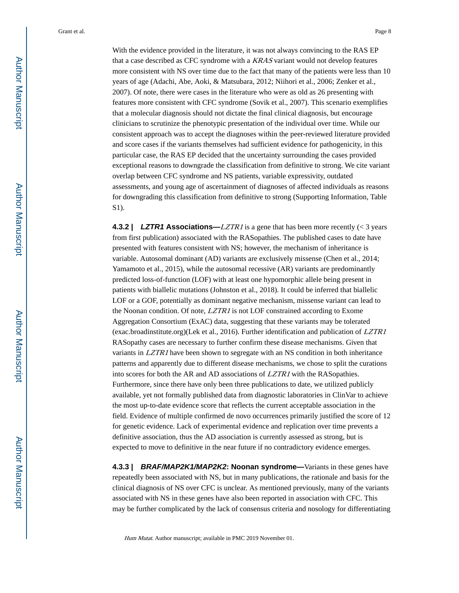With the evidence provided in the literature, it was not always convincing to the RAS EP that a case described as CFC syndrome with a KRAS variant would not develop features more consistent with NS over time due to the fact that many of the patients were less than 10 years of age (Adachi, Abe, Aoki, & Matsubara, 2012; Niihori et al., 2006; Zenker et al., 2007). Of note, there were cases in the literature who were as old as 26 presenting with features more consistent with CFC syndrome (Sovik et al., 2007). This scenario exemplifies that a molecular diagnosis should not dictate the final clinical diagnosis, but encourage clinicians to scrutinize the phenotypic presentation of the individual over time. While our consistent approach was to accept the diagnoses within the peer-reviewed literature provided and score cases if the variants themselves had sufficient evidence for pathogenicity, in this particular case, the RAS EP decided that the uncertainty surrounding the cases provided exceptional reasons to downgrade the classification from definitive to strong. We cite variant overlap between CFC syndrome and NS patients, variable expressivity, outdated assessments, and young age of ascertainment of diagnoses of affected individuals as reasons for downgrading this classification from definitive to strong (Supporting Information, Table S1).

**4.3.2 | LZTR1** Associations—*LZTR1* is a gene that has been more recently (< 3 years from first publication) associated with the RASopathies. The published cases to date have presented with features consistent with NS; however, the mechanism of inheritance is variable. Autosomal dominant (AD) variants are exclusively missense (Chen et al., 2014; Yamamoto et al., 2015), while the autosomal recessive (AR) variants are predominantly predicted loss-of-function (LOF) with at least one hypomorphic allele being present in patients with biallelic mutations (Johnston et al., 2018). It could be inferred that biallelic LOF or a GOF, potentially as dominant negative mechanism, missense variant can lead to the Noonan condition. Of note, LZTR1 is not LOF constrained according to Exome Aggregation Consortium (ExAC) data, suggesting that these variants may be tolerated (exac.broadinstitute.org)(Lek et al., 2016). Further identification and publication of LZTR1 RASopathy cases are necessary to further confirm these disease mechanisms. Given that variants in *LZTR1* have been shown to segregate with an NS condition in both inheritance patterns and apparently due to different disease mechanisms, we chose to split the curations into scores for both the AR and AD associations of LZTR1 with the RASopathies. Furthermore, since there have only been three publications to date, we utilized publicly available, yet not formally published data from diagnostic laboratories in ClinVar to achieve the most up-to-date evidence score that reflects the current acceptable association in the field. Evidence of multiple confirmed de novo occurrences primarily justified the score of 12 for genetic evidence. Lack of experimental evidence and replication over time prevents a definitive association, thus the AD association is currently assessed as strong, but is expected to move to definitive in the near future if no contradictory evidence emerges.

**4.3.3 | BRAF/MAP2K1/MAP2K2: Noonan syndrome—**Variants in these genes have repeatedly been associated with NS, but in many publications, the rationale and basis for the clinical diagnosis of NS over CFC is unclear. As mentioned previously, many of the variants associated with NS in these genes have also been reported in association with CFC. This may be further complicated by the lack of consensus criteria and nosology for differentiating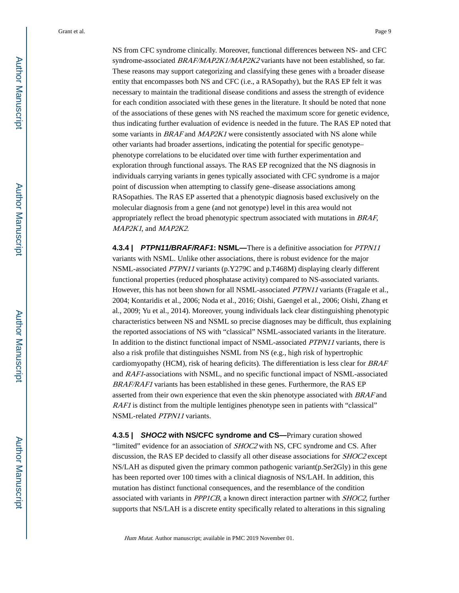NS from CFC syndrome clinically. Moreover, functional differences between NS- and CFC syndrome-associated BRAF/MAP2K1/MAP2K2 variants have not been established, so far. These reasons may support categorizing and classifying these genes with a broader disease entity that encompasses both NS and CFC (i.e., a RASopathy), but the RAS EP felt it was necessary to maintain the traditional disease conditions and assess the strength of evidence for each condition associated with these genes in the literature. It should be noted that none of the associations of these genes with NS reached the maximum score for genetic evidence, thus indicating further evaluation of evidence is needed in the future. The RAS EP noted that some variants in *BRAF* and *MAP2K1* were consistently associated with NS alone while other variants had broader assertions, indicating the potential for specific genotype– phenotype correlations to be elucidated over time with further experimentation and exploration through functional assays. The RAS EP recognized that the NS diagnosis in individuals carrying variants in genes typically associated with CFC syndrome is a major point of discussion when attempting to classify gene–disease associations among RASopathies. The RAS EP asserted that a phenotypic diagnosis based exclusively on the molecular diagnosis from a gene (and not genotype) level in this area would not appropriately reflect the broad phenotypic spectrum associated with mutations in BRAF, MAP2K1, and MAP2K2.

**4.3.4 | PTPN11/BRAF/RAF1: NSML—**There is a definitive association for PTPN11 variants with NSML. Unlike other associations, there is robust evidence for the major NSML-associated PTPN11 variants (p.Y279C and p.T468M) displaying clearly different functional properties (reduced phosphatase activity) compared to NS-associated variants. However, this has not been shown for all NSML-associated PTPN11 variants (Fragale et al., 2004; Kontaridis et al., 2006; Noda et al., 2016; Oishi, Gaengel et al., 2006; Oishi, Zhang et al., 2009; Yu et al., 2014). Moreover, young individuals lack clear distinguishing phenotypic characteristics between NS and NSML so precise diagnoses may be difficult, thus explaining the reported associations of NS with "classical" NSML-associated variants in the literature. In addition to the distinct functional impact of NSML-associated *PTPN11* variants, there is also a risk profile that distinguishes NSML from NS (e.g., high risk of hypertrophic cardiomyopathy (HCM), risk of hearing deficits). The differentiation is less clear for BRAF and RAF1-associations with NSML, and no specific functional impact of NSML-associated BRAF/RAF1 variants has been established in these genes. Furthermore, the RAS EP asserted from their own experience that even the skin phenotype associated with BRAF and RAF1 is distinct from the multiple lentigines phenotype seen in patients with "classical" NSML-related PTPN11 variants.

**4.3.5 | SHOC2 with NS/CFC syndrome and CS—**Primary curation showed "limited" evidence for an association of *SHOC2* with NS, CFC syndrome and CS. After discussion, the RAS EP decided to classify all other disease associations for SHOC2 except NS/LAH as disputed given the primary common pathogenic variant(p.Ser2Gly) in this gene has been reported over 100 times with a clinical diagnosis of NS/LAH. In addition, this mutation has distinct functional consequences, and the resemblance of the condition associated with variants in PPP1CB, a known direct interaction partner with SHOC2, further supports that NS/LAH is a discrete entity specifically related to alterations in this signaling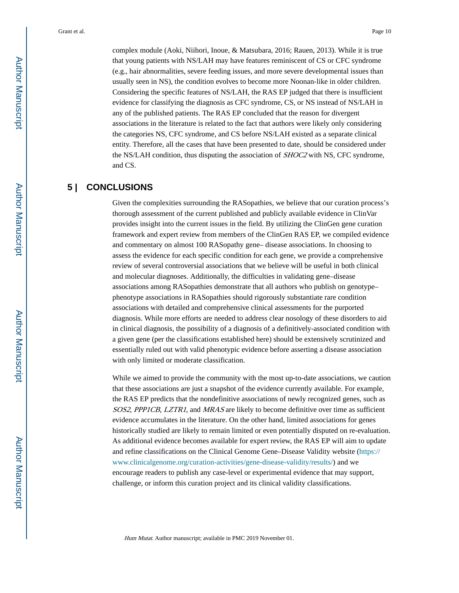complex module (Aoki, Niihori, Inoue, & Matsubara, 2016; Rauen, 2013). While it is true that young patients with NS/LAH may have features reminiscent of CS or CFC syndrome (e.g., hair abnormalities, severe feeding issues, and more severe developmental issues than usually seen in NS), the condition evolves to become more Noonan-like in older children. Considering the specific features of NS/LAH, the RAS EP judged that there is insufficient evidence for classifying the diagnosis as CFC syndrome, CS, or NS instead of NS/LAH in any of the published patients. The RAS EP concluded that the reason for divergent associations in the literature is related to the fact that authors were likely only considering the categories NS, CFC syndrome, and CS before NS/LAH existed as a separate clinical entity. Therefore, all the cases that have been presented to date, should be considered under the NS/LAH condition, thus disputing the association of SHOC2 with NS, CFC syndrome, and CS.

# **5 | CONCLUSIONS**

Given the complexities surrounding the RASopathies, we believe that our curation process's thorough assessment of the current published and publicly available evidence in ClinVar provides insight into the current issues in the field. By utilizing the ClinGen gene curation framework and expert review from members of the ClinGen RAS EP, we compiled evidence and commentary on almost 100 RASopathy gene– disease associations. In choosing to assess the evidence for each specific condition for each gene, we provide a comprehensive review of several controversial associations that we believe will be useful in both clinical and molecular diagnoses. Additionally, the difficulties in validating gene–disease associations among RASopathies demonstrate that all authors who publish on genotype– phenotype associations in RASopathies should rigorously substantiate rare condition associations with detailed and comprehensive clinical assessments for the purported diagnosis. While more efforts are needed to address clear nosology of these disorders to aid in clinical diagnosis, the possibility of a diagnosis of a definitively-associated condition with a given gene (per the classifications established here) should be extensively scrutinized and essentially ruled out with valid phenotypic evidence before asserting a disease association with only limited or moderate classification.

While we aimed to provide the community with the most up-to-date associations, we caution that these associations are just a snapshot of the evidence currently available. For example, the RAS EP predicts that the nondefinitive associations of newly recognized genes, such as SOS2, PPP1CB, LZTR1, and MRAS are likely to become definitive over time as sufficient evidence accumulates in the literature. On the other hand, limited associations for genes historically studied are likely to remain limited or even potentially disputed on re-evaluation. As additional evidence becomes available for expert review, the RAS EP will aim to update and refine classifications on the Clinical Genome Gene–Disease Validity website ([https://](https://www.clinicalgenome.org/curation-activities/gene-disease-validity/results/) [www.clinicalgenome.org/curation-activities/gene-disease-validity/results/](https://www.clinicalgenome.org/curation-activities/gene-disease-validity/results/)) and we encourage readers to publish any case-level or experimental evidence that may support, challenge, or inform this curation project and its clinical validity classifications.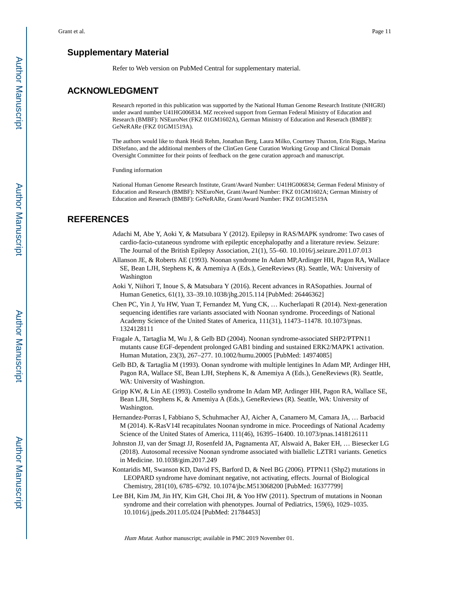# **Supplementary Material**

Refer to Web version on PubMed Central for supplementary material.

### **ACKNOWLEDGMENT**

Research reported in this publication was supported by the National Human Genome Research Institute (NHGRI) under award number U41HG006834. MZ received support from German Federal Ministry of Education and Research (BMBF): NSEuroNet (FKZ 01GM1602A), German Ministry of Education and Reserach (BMBF): GeNeRARe (FKZ 01GM1519A).

The authors would like to thank Heidi Rehm, Jonathan Berg, Laura Milko, Courtney Thaxton, Erin Riggs, Marina DiStefano, and the additional members of the ClinGen Gene Curation Working Group and Clinical Domain Oversight Committee for their points of feedback on the gene curation approach and manuscript.

Funding information

National Human Genome Research Institute, Grant/Award Number: U41HG006834; German Federal Ministry of Education and Research (BMBF): NSEuroNet, Grant/Award Number: FKZ 01GM1602A; German Ministry of Education and Reserach (BMBF): GeNeRARe, Grant/Award Number: FKZ 01GM1519A

## **REFERENCES**

- Adachi M, Abe Y, Aoki Y, & Matsubara Y (2012). Epilepsy in RAS/MAPK syndrome: Two cases of cardio-facio-cutaneous syndrome with epileptic encephalopathy and a literature review. Seizure: The Journal of the British Epilepsy Association, 21(1), 55–60. 10.1016/j.seizure.2011.07.013
- Allanson JE, & Roberts AE (1993). Noonan syndrome In Adam MP,Ardinger HH, Pagon RA, Wallace SE, Bean LJH, Stephens K, & Amemiya A (Eds.), GeneReviews (R). Seattle, WA: University of Washington
- Aoki Y, Niihori T, Inoue S, & Matsubara Y (2016). Recent advances in RASopathies. Journal of Human Genetics, 61(1), 33–39.10.1038/jhg.2015.114 [PubMed: 26446362]
- Chen PC, Yin J, Yu HW, Yuan T, Fernandez M, Yung CK, … Kucherlapati R (2014). Next-generation sequencing identifies rare variants associated with Noonan syndrome. Proceedings of National Academy Science of the United States of America, 111(31), 11473–11478. 10.1073/pnas. 1324128111
- Fragale A, Tartaglia M, Wu J, & Gelb BD (2004). Noonan syndrome-associated SHP2/PTPN11 mutants cause EGF-dependent prolonged GAB1 binding and sustained ERK2/MAPK1 activation. Human Mutation, 23(3), 267–277. 10.1002/humu.20005 [PubMed: 14974085]
- Gelb BD, & Tartaglia M (1993). Oonan syndrome with multiple lentigines In Adam MP, Ardinger HH, Pagon RA, Wallace SE, Bean LJH, Stephens K, & Amemiya A (Eds.), GeneReviews (R). Seattle, WA: University of Washington.
- Gripp KW, & Lin AE (1993). Costello syndrome In Adam MP, Ardinger HH, Pagon RA, Wallace SE, Bean LJH, Stephens K, & Amemiya A (Eds.), GeneReviews (R). Seattle, WA: University of Washington.
- Hernandez-Porras I, Fabbiano S, Schuhmacher AJ, Aicher A, Canamero M, Camara JA, … Barbacid M (2014). K-RasV14I recapitulates Noonan syndrome in mice. Proceedings of National Academy Science of the United States of America, 111(46), 16395–16400. 10.1073/pnas.1418126111
- Johnston JJ, van der Smagt JJ, Rosenfeld JA, Pagnamenta AT, Alswaid A, Baker EH, … Biesecker LG (2018). Autosomal recessive Noonan syndrome associated with biallelic LZTR1 variants. Genetics in Medicine. 10.1038/gim.2017.249
- Kontaridis MI, Swanson KD, David FS, Barford D, & Neel BG (2006). PTPN11 (Shp2) mutations in LEOPARD syndrome have dominant negative, not activating, effects. Journal of Biological Chemistry, 281(10), 6785–6792. 10.1074/jbc.M513068200 [PubMed: 16377799]
- Lee BH, Kim JM, Jin HY, Kim GH, Choi JH, & Yoo HW (2011). Spectrum of mutations in Noonan syndrome and their correlation with phenotypes. Journal of Pediatrics, 159(6), 1029–1035. 10.1016/j.jpeds.2011.05.024 [PubMed: 21784453]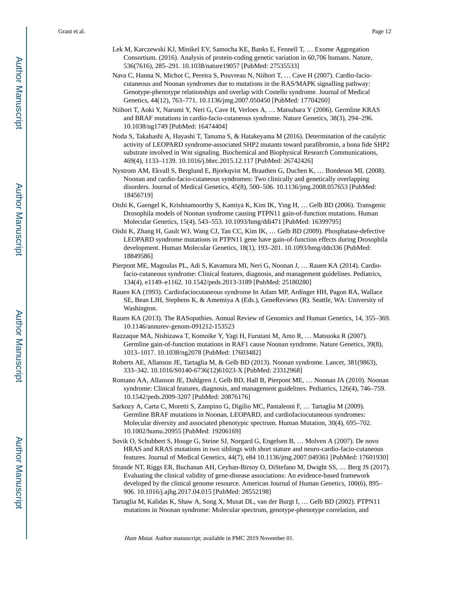- Lek M, Karczewski KJ, Minikel EV, Samocha KE, Banks E, Fennell T, … Exome Aggregation Consortium. (2016). Analysis of protein-coding genetic variation in 60,706 humans. Nature, 536(7616), 285–291. 10.1038/nature19057 [PubMed: 27535533]
- Nava C, Hanna N, Michot C, Pereira S, Pouvreau N, Niihori T, … Cave H (2007). Cardio-faciocutaneous and Noonan syndromes due to mutations in the RAS/MAPK signalling pathway: Genotype-phenotype relationships and overlap with Costello syndrome. Journal of Medical Genetics, 44(12), 763–771. 10.1136/jmg.2007.050450 [PubMed: 17704260]
- Niihori T, Aoki Y, Narumi Y, Neri G, Cave H, Verloes A, … Matsubara Y (2006). Germline KRAS and BRAF mutations in cardio-facio-cutaneous syndrome. Nature Genetics, 38(3), 294–296. 10.1038/ng1749 [PubMed: 16474404]
- Noda S, Takahashi A, Hayashi T, Tanuma S, & Hatakeyama M (2016). Determination of the catalytic activity of LEOPARD syndrome-associated SHP2 mutants toward parafibromin, a bona fide SHP2 substrate involved in Wnt signaling. Biochemical and Biophysical Research Communications, 469(4), 1133–1139. 10.1016/j.bbrc.2015.12.117 [PubMed: 26742426]
- Nystrom AM, Ekvall S, Berglund E, Bjorkqvist M, Braathen G, Duchen K, … Bondeson ML (2008). Noonan and cardio-facio-cutaneous syndromes: Two clinically and genetically overlapping disorders. Journal of Medical Genetics, 45(8), 500–506. 10.1136/jmg.2008.057653 [PubMed: 18456719]
- Oishi K, Gaengel K, Krishnamoorthy S, Kamiya K, Kim IK, Ying H, … Gelb BD (2006). Transgenic Drosophila models of Noonan syndrome causing PTPN11 gain-of-function mutations. Human Molecular Genetics, 15(4), 543–553. 10.1093/hmg/ddi471 [PubMed: 16399795]
- Oishi K, Zhang H, Gault WJ, Wang CJ, Tan CC, Kim IK, … Gelb BD (2009). Phosphatase-defective LEOPARD syndrome mutations in PTPN11 gene have gain-of-function effects during Drosophila development. Human Molecular Genetics, 18(1), 193–201. 10.1093/hmg/ddn336 [PubMed: 18849586]
- Pierpont ME, Magoulas PL, Adi S, Kavamura MI, Neri G, Noonan J, … Rauen KA (2014). Cardiofacio-cutaneous syndrome: Clinical features, diagnosis, and management guidelines. Pediatrics, 134(4), e1149–e1162. 10.1542/peds.2013-3189 [PubMed: 25180280]
- Rauen KA (1993). Cardiofaciocutaneous syndrome In Adam MP, Ardinger HH, Pagon RA, Wallace SE, Bean LJH, Stephens K, & Amemiya A (Eds.), GeneReviews (R). Seattle, WA: University of Washington.
- Rauen KA (2013). The RASopathies. Annual Review of Genomics and Human Genetics, 14, 355–369. 10.1146/annurev-genom-091212-153523
- Razzaque MA, Nishizawa T, Komoike Y, Yagi H, Furutani M, Amo R, … Matsuoka R (2007). Germline gain-of-function mutations in RAF1 cause Noonan syndrome. Nature Genetics, 39(8), 1013–1017. 10.1038/ng2078 [PubMed: 17603482]
- Roberts AE, Allanson JE, Tartaglia M, & Gelb BD (2013). Noonan syndrome. Lancet, 381(9863), 333–342. 10.1016/S0140-6736(12)61023-X [PubMed: 23312968]
- Romano AA, Allanson JE, Dahlgren J, Gelb BD, Hall B, Pierpont ME, … Noonan JA (2010). Noonan syndrome: Clinical features, diagnosis, and management guidelines. Pediatrics, 126(4), 746–759. 10.1542/peds.2009-3207 [PubMed: 20876176]
- Sarkozy A, Carta C, Moretti S, Zampino G, Digilio MC, Pantaleoni F, … Tartaglia M (2009). Germline BRAF mutations in Noonan, LEOPARD, and cardiofaciocutaneous syndromes: Molecular diversity and associated phenotypic spectrum. Human Mutation, 30(4), 695–702. 10.1002/humu.20955 [PubMed: 19206169]
- Sovik O, Schubbert S, Houge G, Steine SJ, Norgard G, Engelsen B, … Molven A (2007). De novo HRAS and KRAS mutations in two siblings with short stature and neuro-cardio-facio-cutaneous features. Journal of Medical Genetics, 44(7), e84 10.1136/jmg.2007.049361 [PubMed: 17601930]
- Strande NT, Riggs ER, Buchanan AH, Ceyhan-Birsoy O, DiStefano M, Dwight SS, … Berg JS (2017). Evaluating the clinical validity of gene-disease associations: An evidence-based framework developed by the clinical genome resource. American Journal of Human Genetics, 100(6), 895– 906. 10.1016/j.ajhg.2017.04.015 [PubMed: 28552198]
- Tartaglia M, Kalidas K, Shaw A, Song X, Musat DL, van der Burgt I, … Gelb BD (2002). PTPN11 mutations in Noonan syndrome: Molecular spectrum, genotype-phenotype correlation, and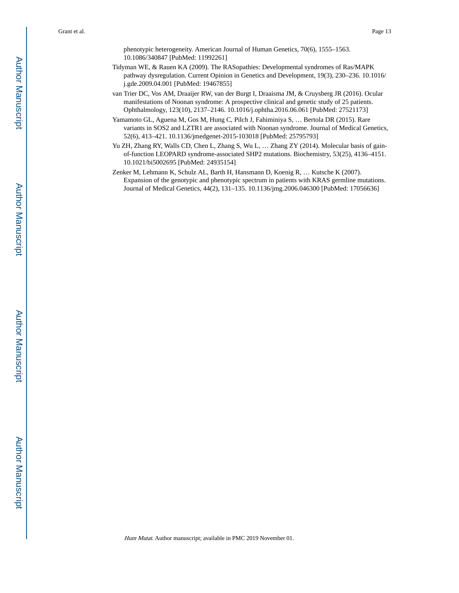phenotypic heterogeneity. American Journal of Human Genetics, 70(6), 1555–1563. 10.1086/340847 [PubMed: 11992261]

- Tidyman WE, & Rauen KA (2009). The RASopathies: Developmental syndromes of Ras/MAPK pathway dysregulation. Current Opinion in Genetics and Development, 19(3), 230–236. 10.1016/ j.gde.2009.04.001 [PubMed: 19467855]
- van Trier DC, Vos AM, Draaijer RW, van der Burgt I, Draaisma JM, & Cruysberg JR (2016). Ocular manifestations of Noonan syndrome: A prospective clinical and genetic study of 25 patients. Ophthalmology, 123(10), 2137–2146. 10.1016/j.ophtha.2016.06.061 [PubMed: 27521173]
- Yamamoto GL, Aguena M, Gos M, Hung C, Pilch J, Fahiminiya S, … Bertola DR (2015). Rare variants in SOS2 and LZTR1 are associated with Noonan syndrome. Journal of Medical Genetics, 52(6), 413–421. 10.1136/jmedgenet-2015-103018 [PubMed: 25795793]
- Yu ZH, Zhang RY, Walls CD, Chen L, Zhang S, Wu L, … Zhang ZY (2014). Molecular basis of gainof-function LEOPARD syndrome-associated SHP2 mutations. Biochemistry, 53(25), 4136–4151. 10.1021/bi5002695 [PubMed: 24935154]
- Zenker M, Lehmann K, Schulz AL, Barth H, Hansmann D, Koenig R, … Kutsche K (2007). Expansion of the genotypic and phenotypic spectrum in patients with KRAS germline mutations. Journal of Medical Genetics, 44(2), 131–135. 10.1136/jmg.2006.046300 [PubMed: 17056636]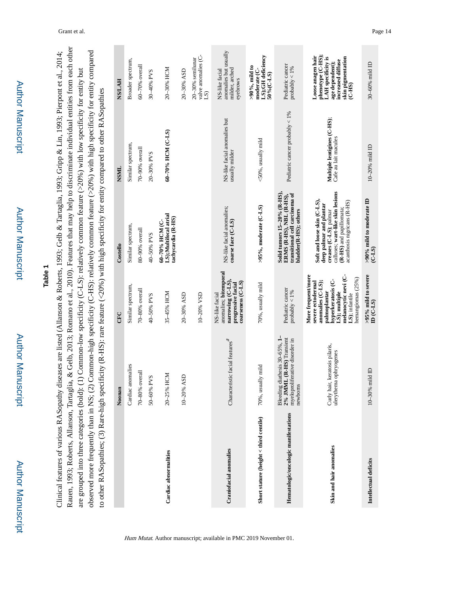Author Manuscript

Author Manuscript

# **Table 1**

Rauen, 1993; Roberts, Allanson, Tartaglia, & Gelb, 2013; Romano et al., 2010). Features that may help to discriminate individual entities from each other Rauen, 1993; Roberts, Allanson, Tartaglia, & Gelb, 2013; Romano et al., 2010). Features that may help to discriminate individual entities from each other observed more frequently than in NS; (2) Common-high specificity (C-HS): relatively common feature (>20%) with high specificity for entity compared observed more frequently than in NS; (2) Common-high specificity (C-HS): relatively common feature (>20%) with high specificity for entity compared Clinical features of various RASopathy diseases are listed (Allanson & Roberts, 1993; Gelb & Tartaglia, 1993; Gripp & Lin, 1993; Pierpont et al., 2014; Clinical features of various RASopathy diseases are listed (Allanson & Roberts, 1993; Gelb & Tartaglia, 1993; Gripp & Lin, 1993; Pierpont et al., 2014; are grouped into three categories (bold): (1) Common-low specificity (C-LS): relatively common feature  $(>20\%)$  with low specificity for entity but are grouped into three categories (bold): (1) Common-low specificity (C-LS): relatively common feature (>20%) with low specificity for entity but to other RASopathies; (3) Rare-high specificity (R-HS): rare feature (<20%) with high specificity for entity compared to other RASopathies to other RASopathies; (3) Rare-high specificity (R-HS): rare feature (<20%) with high specificity for entity compared to other RASopathies

|                                          | Noonan                                                                                                          | CFC                                                                                                                                                                                | Costello                                                                                                                                                                       | NSML                                                | <b>NS/LAH</b>                                                                                                                              |
|------------------------------------------|-----------------------------------------------------------------------------------------------------------------|------------------------------------------------------------------------------------------------------------------------------------------------------------------------------------|--------------------------------------------------------------------------------------------------------------------------------------------------------------------------------|-----------------------------------------------------|--------------------------------------------------------------------------------------------------------------------------------------------|
|                                          | Cardiac anomalies                                                                                               | Similar spectrum,                                                                                                                                                                  | Similar spectrum,                                                                                                                                                              | Similar spectrum,                                   | Broader spectrum,                                                                                                                          |
|                                          | overall<br>70-80%                                                                                               | 70-80% overall                                                                                                                                                                     | 80-90% overall                                                                                                                                                                 | 70-90% overall                                      | 60-70% overall                                                                                                                             |
|                                          | PVS<br>50-60%                                                                                                   | 40-50% PVS                                                                                                                                                                         | 40-50% PVS                                                                                                                                                                     | 20-30% PVS                                          | 30-40% PVS                                                                                                                                 |
| Cardiac abnormalities                    | 20-25% HCM                                                                                                      | 35-45% HCM                                                                                                                                                                         | LS);Multifocal atrial<br>tachycardia (R-HS)<br>60-70% HCM (C-                                                                                                                  | 60-70% HCM (C-LS)                                   | 20-30% HCM                                                                                                                                 |
|                                          | ASD<br>$10 - 20%$                                                                                               | 20-30% ASD                                                                                                                                                                         |                                                                                                                                                                                |                                                     | 20-30% ASD                                                                                                                                 |
|                                          |                                                                                                                 | 10-20% VSD                                                                                                                                                                         |                                                                                                                                                                                |                                                     | valve anomalies (C-<br>$20-30%$ semilunar<br>$\overline{15}$                                                                               |
| <b>Craniofacial anomalies</b>            | Characteristic facial features <sup>a</sup>                                                                     | anomalies; bitemporal<br>narrowing (C-LS),<br>$\text{coarseness}(\text{C-LS})$<br>progressive facial<br>NS-like facial                                                             | NS-like facial anomalies;<br>coarse face (C-LS)                                                                                                                                | NS-like facial anomalies but<br>usually milder      | anomalies but usually<br>milder, arched<br>NS-like facial<br>eyebrows                                                                      |
| Short stature (height $<$ third centile) | 70%, usually mild                                                                                               | 70%, usually mild                                                                                                                                                                  | >95%, moderate (C-LS)                                                                                                                                                          | <50%, usually mild                                  | LS);GH deficiency<br>$>90\%$ , mild to<br>moderate (C-<br>50% (C-LS)                                                                       |
| Hematologic/oncologic manifestations     | diathesis $30-65%$ , $1-$<br>2% JMML (R-HS) Transient<br>myeloproliferative disorder in<br>newborns<br>Bleeding | Pediatric cancer<br>probably $< 1\%$                                                                                                                                               | Solid tumors 15-20% (R-HS),<br>ERMS (R-HS), NBL (R-HS),<br>transitional cell carcinoma of<br>bladder(R-HS); others                                                             | Pediatric cancer probably $<$ 1%                    | Pediatric cancer<br>probably $< 1\%$                                                                                                       |
| Skin and hair anomalies                  | Curly hair, keratosis pilaris,<br>ulerythema ophryogenes                                                        | melanocytic nevi (C-<br>More frequent/more<br>hemangiomas (25%)<br>hyperkeratosis (C-<br>anomalies (C-LS);<br>severe ectodermal<br>palmoplantar<br>LS); multiple<br>LS); infantile | calluses; wart-like skin lesions<br>Soft and loose skin (C-LS),<br>acanthosis nigricans (R-HS)<br>deep palmar and plantar<br>(R-HS) and papillomata;<br>creases (C-LS); palmar | Multiple lentigines (C-HS);<br>Cafe au lait macules | phenotype (C-HS);<br>Loose anagen hair<br><b>LAH</b> specificity is<br>skin pigmentation<br>increased diffuse<br>age dependent);<br>(C-HS) |
| Intellectual deficits                    | mild ID<br>10-30%                                                                                               | $>95\%$ mild to severe<br>$D(C-LS)$                                                                                                                                                | >90% mild to moderate ID<br>(C.LS)                                                                                                                                             | $10-20%$ mild ID                                    | 30-60% mild ID                                                                                                                             |

Hum Mutat. Author manuscript; available in PMC 2019 November 01.

**College**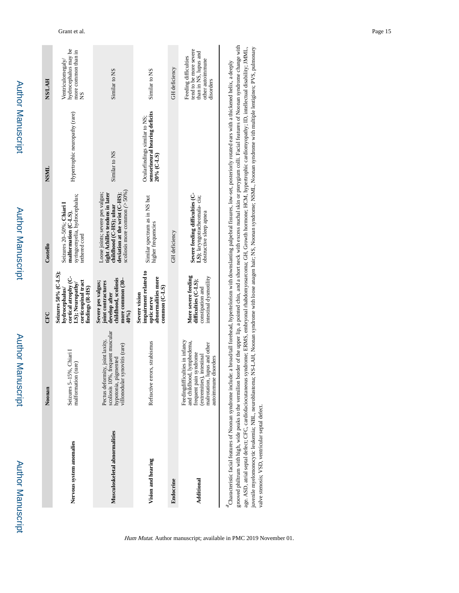| ٠ |
|---|
|   |
|   |
| i |
|   |
|   |
|   |
| ı |
|   |
|   |
|   |
|   |
|   |
|   |
|   |
|   |
| ٠ |
|   |
| ı |

|                                                                                                                                                                                                            | Noonan                                                                                                                                                                      | CFC                                                                                                                         | Costello                                                                                                                                                            | NSH                                                                           | <b>NS/LAH</b>                                                                                            |
|------------------------------------------------------------------------------------------------------------------------------------------------------------------------------------------------------------|-----------------------------------------------------------------------------------------------------------------------------------------------------------------------------|-----------------------------------------------------------------------------------------------------------------------------|---------------------------------------------------------------------------------------------------------------------------------------------------------------------|-------------------------------------------------------------------------------|----------------------------------------------------------------------------------------------------------|
| Nervous system anomalies                                                                                                                                                                                   | Seizures 5-15%, Chiari I<br>malformation (rare)                                                                                                                             | Seizures 50% (C-LS);<br>cortical atrophy (C-<br>corticospinal tract<br>LS); Neuropathy<br>findings (R-HS)<br>hydrocephalus/ | syringomyelia, hydrocephalus;<br>Seizures 20-50%; Chiari I<br>malformation (C-LS).<br>tethered cord                                                                 | Hypertrophic neuropathy (rare)                                                | hydrocephalus may be<br>more common than in<br>Ventriculomegaly/<br>8N                                   |
| Musculoskeletal abnormalities                                                                                                                                                                              | scoliosis 10%, frequent muscular<br>Pectus deformity, joint laxity,<br>hypotonia, pigmented<br>villonodular synovitis (rare)                                                | childhood, scoliosis<br>more common (30-<br>joint contractures<br>Severe pes valgus;<br>develop after<br>40%)               | scoliosis more common $(>50\%)$<br>Loose joints; severe pes valgus;<br>tight Achilles tendons in later<br>deviation at the wrist (C-HS):<br>childhood (C-HS); ulnar | Similar to NS                                                                 | Similar to NS                                                                                            |
| Vision and hearing                                                                                                                                                                                         | Refractive errors, strabismus                                                                                                                                               | impairment related to<br>abnormalities more<br>$common(C-LS)$<br>Severe vision<br>optic nerve                               | Similar spectrum as in NS but<br>higher frequencies                                                                                                                 | sensorineural hearing deficits<br>Ocularfindings similar to NS:<br>20% (C-LS) | Similar to NS                                                                                            |
| Endocrine                                                                                                                                                                                                  |                                                                                                                                                                             |                                                                                                                             | GH deficiency                                                                                                                                                       |                                                                               | GH deficiency                                                                                            |
| Additional                                                                                                                                                                                                 | Feedingdifficulties in infancy<br>and childhood, lymphedema,<br>malrotation, lupus and other<br>frequent pain syndrome<br>(extremities), intestinal<br>autoimmune disorders | More severe feeding<br>intestinal dysmotility<br>difficulties (C-LS);<br>constipation and                                   | Severe feeding difficulties (C-<br>LS); laryngotracheomala-cia;<br>obstructive sleep apnea                                                                          |                                                                               | tend to be more severe<br>than in NS, lupus and<br>Feeding difficulties<br>other autoimmune<br>disorders |
| d Characteristic facial features of Noonan syndrome include: a broad/tall forehead, hypertelorism with downslanting palpebral fissures, low-set, posteriorly rotated ears with a thickened helix, a deeply |                                                                                                                                                                             |                                                                                                                             |                                                                                                                                                                     |                                                                               |                                                                                                          |

grooved philtum with high, wide peaks to the vermilion border of the upper lip, a pointed chin, and a short neck with excess nuchal skin or pterygium colli. Facial features of Noonan syndrome change with<br>age. ASD, atrial s grooved philtrum with high, wide peaks to the vermilion border of the upper lip, a pointed chin, and a short neck with excess nuchal skin or pterygium colli. Facial features of Noonan syndrome change with juvenile myelomonocytic leukemia; NBL, neuroblastoma; NS-LAH, Noonan syndrome with loose anagen hair; NS, Noonan syndrome; NSML, Noonan syndrome with multiple lentigines; PVS, pulmonary age. ASD, atrial septal defect; CFC, cardiofaciocutaneous syndrome; ERMS, embryonal rhabdomyosarcoma; GH, Growth hormone; HCM, hypertrophic cardiomyopathy; ID, intellectual disability; JMML, valve stenosis; VSD, ventricular septal defect.